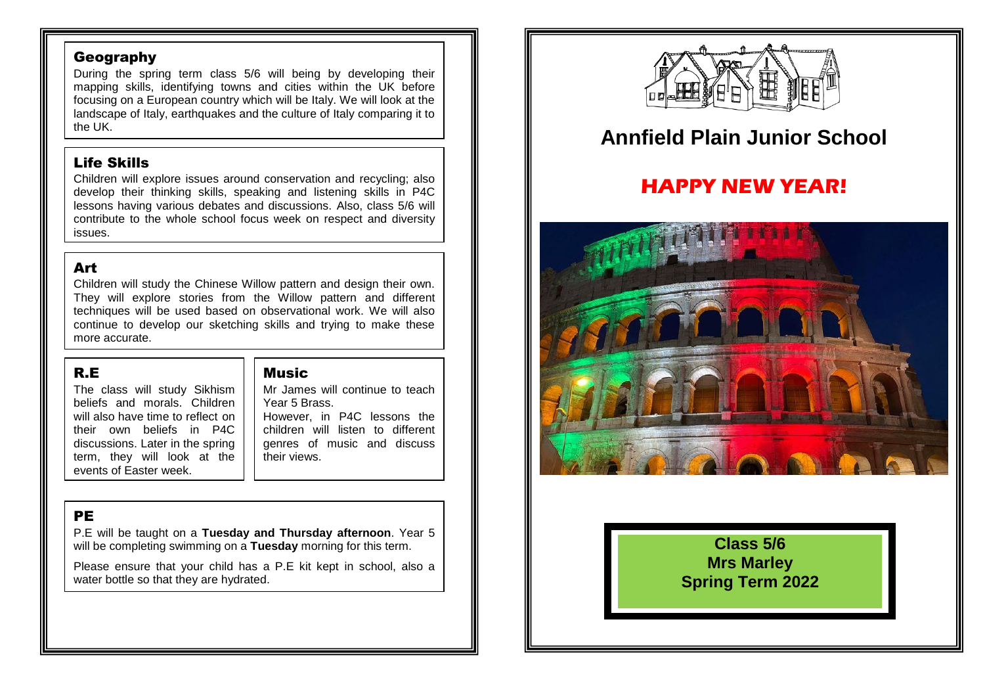#### Geography

During the spring term class 5/6 will being by developing their mapping skills, identifying towns and cities within the UK before focusing on a European country which will be Italy. We will look at the landscape of Italy, earthquakes and the culture of Italy comparing it to the UK.

### Life Skills

Children will explore issues around conservation and recycling; also develop their thinking skills, speaking and listening skills in P4C lessons having various debates and discussions. Also, class 5/6 will contribute to the whole school focus week on respect and diversity issues.

# Art

Children will study the Chinese Willow pattern and design their own. They will explore stories from the Willow pattern and different techniques will be used based on observational work. We will also continue to develop our sketching skills and trying to make these more accurate.

### R.E

The class will study Sikhism beliefs and morals. Children will also have time to reflect on their own beliefs in P4C discussions. Later in the spring term, they will look at the events of Easter week.

#### Music

their views.

Mr James will continue to teach Year 5 Brass. However, in P4C lessons the children will listen to different genres of music and discuss

PE

P.E will be taught on a **Tuesday and Thursday afternoon**. Year 5 will be completing swimming on a **Tuesday** morning for this term.

Please ensure that your child has a P.E kit kept in school, also a water bottle so that they are hydrated.



# **Annfield Plain Junior School**

# **HAPPY NEW YEAR!**



**Class 5/6 Mrs Marley Spring Term 2022**